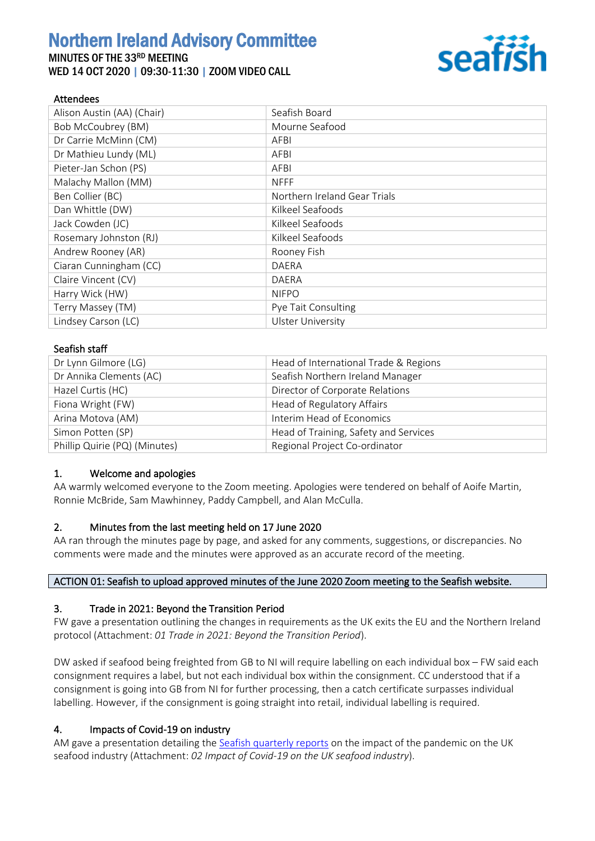# Northern Ireland Advisory Committee

## MINUTES OF THE 33RD MEETING WED 14 OCT 2020 | 09:30-11:30 | ZOOM VIDEO CALL



## Attendees

| Alison Austin (AA) (Chair) | Seafish Board                |
|----------------------------|------------------------------|
| Bob McCoubrey (BM)         | Mourne Seafood               |
| Dr Carrie McMinn (CM)      | AFBI                         |
| Dr Mathieu Lundy (ML)      | AFBI                         |
| Pieter-Jan Schon (PS)      | AFBI                         |
| Malachy Mallon (MM)        | <b>NFFF</b>                  |
| Ben Collier (BC)           | Northern Ireland Gear Trials |
| Dan Whittle (DW)           | Kilkeel Seafoods             |
| Jack Cowden (JC)           | Kilkeel Seafoods             |
| Rosemary Johnston (RJ)     | Kilkeel Seafoods             |
| Andrew Rooney (AR)         | Rooney Fish                  |
| Ciaran Cunningham (CC)     | <b>DAERA</b>                 |
| Claire Vincent (CV)        | DAERA                        |
| Harry Wick (HW)            | <b>NIFPO</b>                 |
| Terry Massey (TM)          | Pye Tait Consulting          |
| Lindsey Carson (LC)        | <b>Ulster University</b>     |

#### Seafish staff

| Dr Lynn Gilmore (LG)          | Head of International Trade & Regions |
|-------------------------------|---------------------------------------|
| Dr Annika Clements (AC)       | Seafish Northern Ireland Manager      |
| Hazel Curtis (HC)             | Director of Corporate Relations       |
| Fiona Wright (FW)             | Head of Regulatory Affairs            |
| Arina Motova (AM)             | Interim Head of Economics             |
| Simon Potten (SP)             | Head of Training, Safety and Services |
| Phillip Quirie (PQ) (Minutes) | Regional Project Co-ordinator         |

## 1. Welcome and apologies

AA warmly welcomed everyone to the Zoom meeting. Apologies were tendered on behalf of Aoife Martin, Ronnie McBride, Sam Mawhinney, Paddy Campbell, and Alan McCulla.

## 2. Minutes from the last meeting held on 17 June 2020

AA ran through the minutes page by page, and asked for any comments, suggestions, or discrepancies. No comments were made and the minutes were approved as an accurate record of the meeting.

## ACTION 01: Seafish to upload approved minutes of the June 2020 Zoom meeting to the Seafish website.

## 3. Trade in 2021: Beyond the Transition Period

FW gave a presentation outlining the changes in requirements as the UK exits the EU and the Northern Ireland protocol (Attachment: *01 Trade in 2021: Beyond the Transition Period*).

DW asked if seafood being freighted from GB to NI will require labelling on each individual box – FW said each consignment requires a label, but not each individual box within the consignment. CC understood that if a consignment is going into GB from NI for further processing, then a catch certificate surpasses individual labelling. However, if the consignment is going straight into retail, individual labelling is required.

## 4. Impacts of Covid-19 on industry

AM gave a presentation detailing th[e Seafish quarterly reports](https://www.seafish.org/insight-and-research/covid-19-impact-on-seafood-industry/) on the impact of the pandemic on the UK seafood industry (Attachment: *02 Impact of Covid-19 on the UK seafood industry*).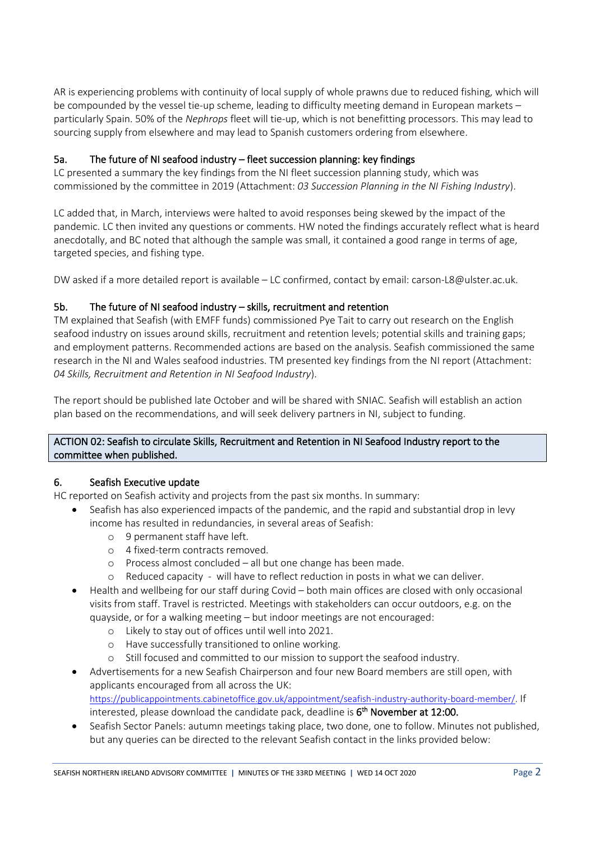AR is experiencing problems with continuity of local supply of whole prawns due to reduced fishing, which will be compounded by the vessel tie-up scheme, leading to difficulty meeting demand in European markets – particularly Spain. 50% of the *Nephrops* fleet will tie-up, which is not benefitting processors. This may lead to sourcing supply from elsewhere and may lead to Spanish customers ordering from elsewhere.

## 5a. The future of NI seafood industry – fleet succession planning: key findings

LC presented a summary the key findings from the NI fleet succession planning study, which was commissioned by the committee in 2019 (Attachment: *03 Succession Planning in the NI Fishing Industry*).

LC added that, in March, interviews were halted to avoid responses being skewed by the impact of the pandemic. LC then invited any questions or comments. HW noted the findings accurately reflect what is heard anecdotally, and BC noted that although the sample was small, it contained a good range in terms of age, targeted species, and fishing type.

DW asked if a more detailed report is available – LC confirmed, contact by email: carson-L8@ulster.ac.uk.

## 5b. The future of NI seafood industry – skills, recruitment and retention

TM explained that Seafish (with EMFF funds) commissioned Pye Tait to carry out research on the English seafood industry on issues around skills, recruitment and retention levels; potential skills and training gaps; and employment patterns. Recommended actions are based on the analysis. Seafish commissioned the same research in the NI and Wales seafood industries. TM presented key findings from the NI report (Attachment: *04 Skills, Recruitment and Retention in NI Seafood Industry*).

The report should be published late October and will be shared with SNIAC. Seafish will establish an action plan based on the recommendations, and will seek delivery partners in NI, subject to funding.

## ACTION 02: Seafish to circulate Skills, Recruitment and Retention in NI Seafood Industry report to the committee when published.

## 6. Seafish Executive update

HC reported on Seafish activity and projects from the past six months. In summary:

- Seafish has also experienced impacts of the pandemic, and the rapid and substantial drop in levy income has resulted in redundancies, in several areas of Seafish:
	- o 9 permanent staff have left.
	- o 4 fixed-term contracts removed.
	- o Process almost concluded all but one change has been made.
	- o Reduced capacity will have to reflect reduction in posts in what we can deliver.
- Health and wellbeing for our staff during Covid both main offices are closed with only occasional visits from staff. Travel is restricted. Meetings with stakeholders can occur outdoors, e.g. on the quayside, or for a walking meeting – but indoor meetings are not encouraged:
	- o Likely to stay out of offices until well into 2021.
	- o Have successfully transitioned to online working.
	- o Still focused and committed to our mission to support the seafood industry.
- Advertisements for a new Seafish Chairperson and four new Board members are still open, with applicants encouraged from all across the UK: [https://publicappointments.cabinetoffice.gov.uk/appointment/seafish-industry-authority-board-member/.](https://publicappointments.cabinetoffice.gov.uk/appointment/seafish-industry-authority-board-member/) If interested, please download the candidate pack, deadline is  $6^{\text{th}}$  November at 12:00.
- Seafish Sector Panels: autumn meetings taking place, two done, one to follow. Minutes not published, but any queries can be directed to the relevant Seafish contact in the links provided below: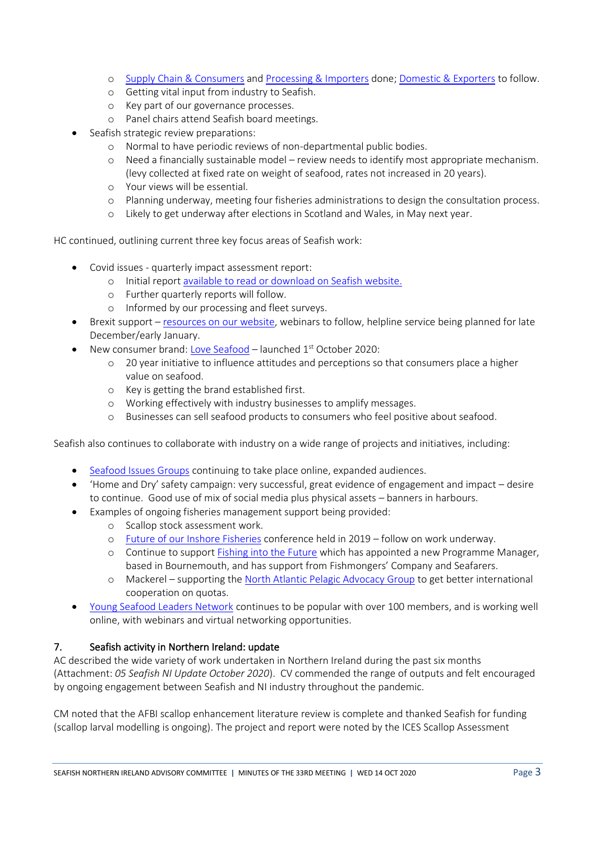- o [Supply Chain & Consumers](https://www.seafish.org/about-us/governance-and-performance/sector-panels/supply-chain-and-consumer-sector-panel/) and [Processing & Importers](https://www.seafish.org/about-us/governance-and-performance/sector-panels/processing-and-importers-sector-panel/) done[; Domestic & Exporters](https://www.seafish.org/about-us/governance-and-performance/sector-panels/domestic-and-export-sector-panel/) to follow.
- o Getting vital input from industry to Seafish.
- o Key part of our governance processes.
- o Panel chairs attend Seafish board meetings.
- Seafish strategic review preparations:
	- o Normal to have periodic reviews of non-departmental public bodies.
	- o Need a financially sustainable model review needs to identify most appropriate mechanism. (levy collected at fixed rate on weight of seafood, rates not increased in 20 years).
	- o Your views will be essential.
	- o Planning underway, meeting four fisheries administrations to design the consultation process.
	- o Likely to get underway after elections in Scotland and Wales, in May next year.

HC continued, outlining current three key focus areas of Seafish work:

- Covid issues quarterly impact assessment report:
	- o Initial repor[t available to read or download on Seafish website.](https://www.seafish.org/insight-and-research/covid-19-impact-on-seafood-industry/)
	- o Further quarterly reports will follow.
	- o Informed by our processing and fleet surveys.
- Brexit support [resources on our website,](https://www.seafish.org/trade-and-regulation/uk-exit-from-the-eu/) webinars to follow, helpline service being planned for late December/early January.
- New consumer brand[: Love Seafood](https://www.seafish.org/promoting-seafood/love-seafood-consumer-brand/) launched 1<sup>st</sup> October 2020:
	- o 20 year initiative to influence attitudes and perceptions so that consumers place a higher value on seafood.
	- o Key is getting the brand established first.
	- o Working effectively with industry businesses to amplify messages.
	- o Businesses can sell seafood products to consumers who feel positive about seafood.

Seafish also continues to collaborate with industry on a wide range of projects and initiatives, including:

- [Seafood Issues Groups](https://www.seafish.org/responsible-sourcing/seafood-issues-groups/) continuing to take place online, expanded audiences.
- 'Home and Dry' safety campaign: very successful, great evidence of engagement and impact desire to continue. Good use of mix of social media plus physical assets – banners in harbours.
- Examples of ongoing fisheries management support being provided:
	- o Scallop stock assessment work.
	- o [Future of our Inshore Fisheries](https://www.seafish.org/responsible-sourcing/fisheries-management/future-of-our-inshore-fisheries/) conference held in 2019 follow on work underway.
	- o Continue to suppor[t Fishing into the Future](https://www.fishingintothefuture.co.uk/) which has appointed a new Programme Manager, based in Bournemouth, and has support from Fishmongers' Company and Seafarers.
	- o Mackerel supporting the [North Atlantic Pelagic Advocacy Group](https://www.seafish.org/responsible-sourcing/fisheries-management/north-atlantic-pelagic-advocacy-group/) to get better international cooperation on quotas.
- [Young Seafood Leaders Network](https://www.seafish.org/safety-and-training/careers-in-the-uk-seafood-industry/young-seafood-leaders-network/) continues to be popular with over 100 members, and is working well online, with webinars and virtual networking opportunities.

## 7. Seafish activity in Northern Ireland: update

AC described the wide variety of work undertaken in Northern Ireland during the past six months (Attachment: *05 Seafish NI Update October 2020*). CV commended the range of outputs and felt encouraged by ongoing engagement between Seafish and NI industry throughout the pandemic.

CM noted that the AFBI scallop enhancement literature review is complete and thanked Seafish for funding (scallop larval modelling is ongoing). The project and report were noted by the ICES Scallop Assessment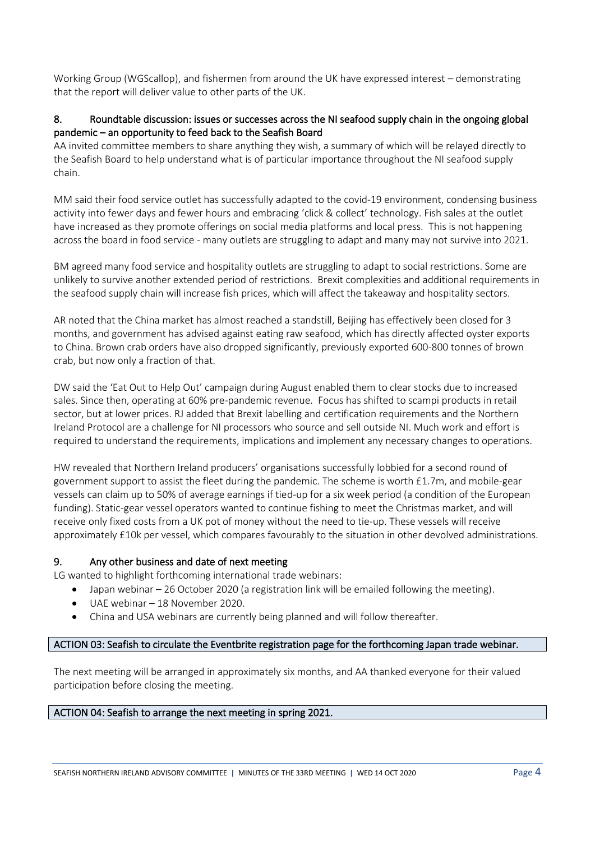Working Group (WGScallop), and fishermen from around the UK have expressed interest – demonstrating that the report will deliver value to other parts of the UK.

## 8. Roundtable discussion: issues or successes across the NI seafood supply chain in the ongoing global pandemic – an opportunity to feed back to the Seafish Board

AA invited committee members to share anything they wish, a summary of which will be relayed directly to the Seafish Board to help understand what is of particular importance throughout the NI seafood supply chain.

MM said their food service outlet has successfully adapted to the covid-19 environment, condensing business activity into fewer days and fewer hours and embracing 'click & collect' technology. Fish sales at the outlet have increased as they promote offerings on social media platforms and local press. This is not happening across the board in food service - many outlets are struggling to adapt and many may not survive into 2021.

BM agreed many food service and hospitality outlets are struggling to adapt to social restrictions. Some are unlikely to survive another extended period of restrictions. Brexit complexities and additional requirements in the seafood supply chain will increase fish prices, which will affect the takeaway and hospitality sectors.

AR noted that the China market has almost reached a standstill, Beijing has effectively been closed for 3 months, and government has advised against eating raw seafood, which has directly affected oyster exports to China. Brown crab orders have also dropped significantly, previously exported 600-800 tonnes of brown crab, but now only a fraction of that.

DW said the 'Eat Out to Help Out' campaign during August enabled them to clear stocks due to increased sales. Since then, operating at 60% pre-pandemic revenue. Focus has shifted to scampi products in retail sector, but at lower prices. RJ added that Brexit labelling and certification requirements and the Northern Ireland Protocol are a challenge for NI processors who source and sell outside NI. Much work and effort is required to understand the requirements, implications and implement any necessary changes to operations.

HW revealed that Northern Ireland producers' organisations successfully lobbied for a second round of government support to assist the fleet during the pandemic. The scheme is worth £1.7m, and mobile-gear vessels can claim up to 50% of average earnings if tied-up for a six week period (a condition of the European funding). Static-gear vessel operators wanted to continue fishing to meet the Christmas market, and will receive only fixed costs from a UK pot of money without the need to tie-up. These vessels will receive approximately £10k per vessel, which compares favourably to the situation in other devolved administrations.

## 9. Any other business and date of next meeting

LG wanted to highlight forthcoming international trade webinars:

- Japan webinar 26 October 2020 (a registration link will be emailed following the meeting).
	- UAE webinar 18 November 2020.
	- China and USA webinars are currently being planned and will follow thereafter.

#### ACTION 03: Seafish to circulate the Eventbrite registration page for the forthcoming Japan trade webinar.

The next meeting will be arranged in approximately six months, and AA thanked everyone for their valued participation before closing the meeting.

#### ACTION 04: Seafish to arrange the next meeting in spring 2021.